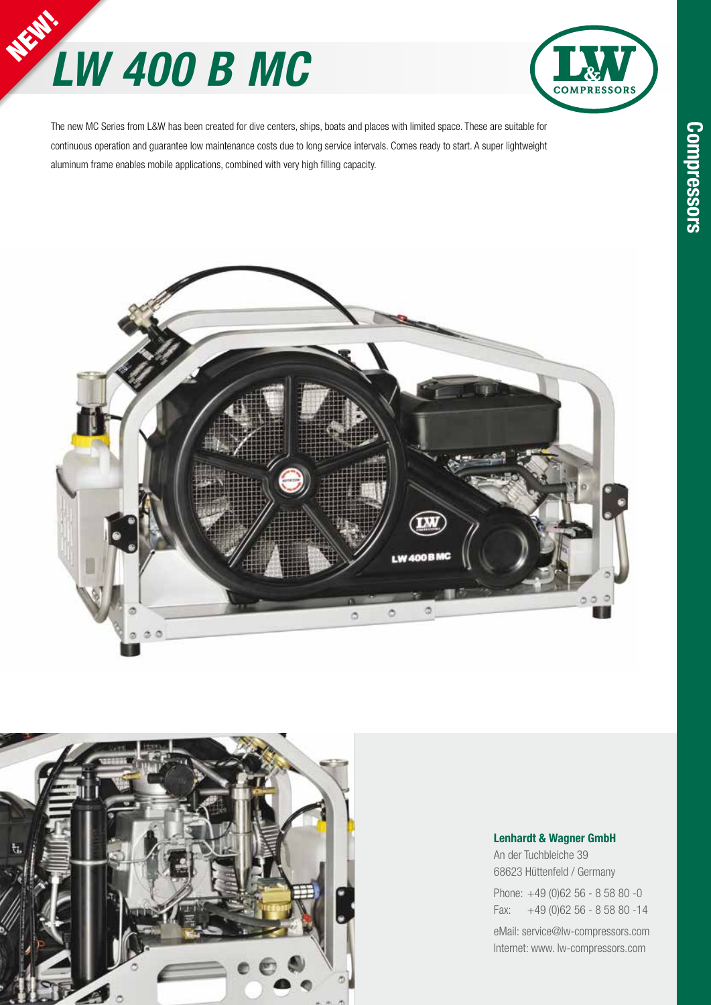# *LW 400 B MC* **NEW!**



The new MC Series from L&W has been created for dive centers, ships, boats and places with limited space. These are suitable for continuous operation and guarantee low maintenance costs due to long service intervals. Comes ready to start. A super lightweight aluminum frame enables mobile applications, combined with very high filling capacity.





#### **Lenhardt & Wagner GmbH**

An der Tuchbleiche 39 68623 Hüttenfeld / Germany

Phone: +49 (0)62 56 - 8 58 80 -0 Fax: +49 (0)62 56 - 8 58 80 -14

eMail: service@lw-compressors.com Internet: www. lw-compressors.com